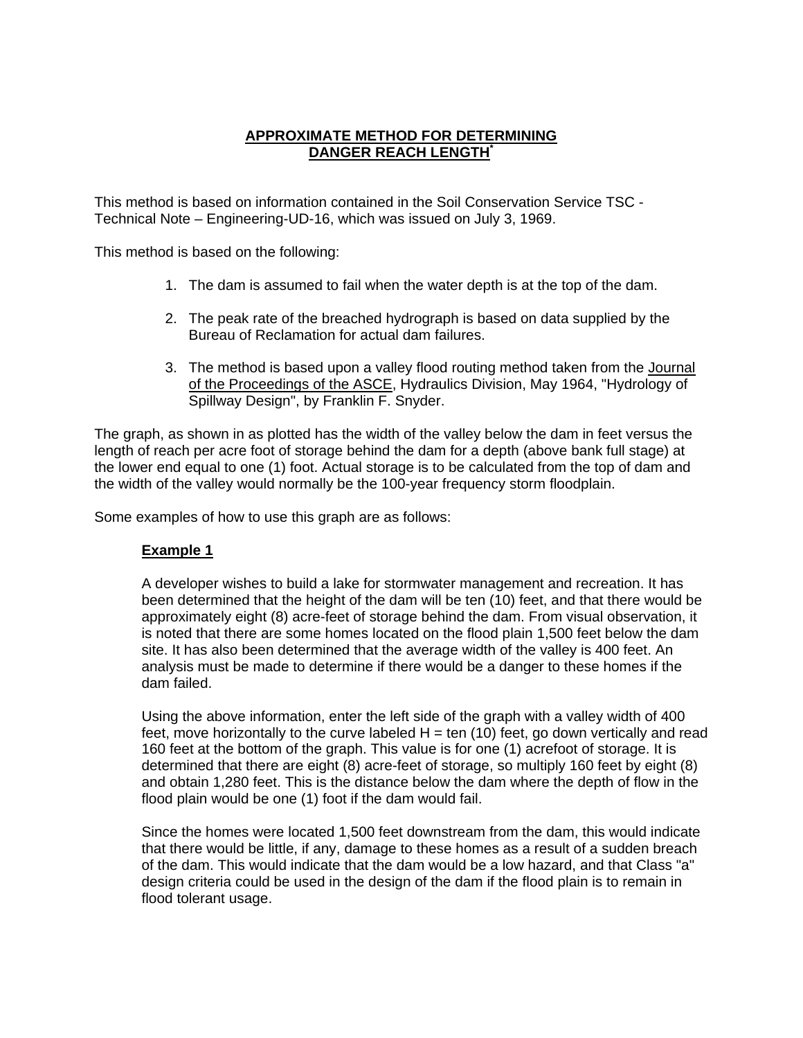## **APPROXIMATE METHOD FOR DETERMINING DANGER REACH LENGTH\***

This method is based on information contained in the Soil Conservation Service TSC - Technical Note – Engineering-UD-16, which was issued on July 3, 1969.

This method is based on the following:

- 1. The dam is assumed to fail when the water depth is at the top of the dam.
- 2. The peak rate of the breached hydrograph is based on data supplied by the Bureau of Reclamation for actual dam failures.
- 3. The method is based upon a valley flood routing method taken from the Journal of the Proceedings of the ASCE, Hydraulics Division, May 1964, "Hydrology of Spillway Design", by Franklin F. Snyder.

The graph, as shown in as plotted has the width of the valley below the dam in feet versus the length of reach per acre foot of storage behind the dam for a depth (above bank full stage) at the lower end equal to one (1) foot. Actual storage is to be calculated from the top of dam and the width of the valley would normally be the 100-year frequency storm floodplain.

Some examples of how to use this graph are as follows:

## **Example 1**

A developer wishes to build a lake for stormwater management and recreation. It has been determined that the height of the dam will be ten (10) feet, and that there would be approximately eight (8) acre-feet of storage behind the dam. From visual observation, it is noted that there are some homes located on the flood plain 1,500 feet below the dam site. It has also been determined that the average width of the valley is 400 feet. An analysis must be made to determine if there would be a danger to these homes if the dam failed.

Using the above information, enter the left side of the graph with a valley width of 400 feet, move horizontally to the curve labeled  $H = \text{ten (10)}$  feet, go down vertically and read 160 feet at the bottom of the graph. This value is for one (1) acrefoot of storage. It is determined that there are eight (8) acre-feet of storage, so multiply 160 feet by eight (8) and obtain 1,280 feet. This is the distance below the dam where the depth of flow in the flood plain would be one (1) foot if the dam would fail.

Since the homes were located 1,500 feet downstream from the dam, this would indicate that there would be little, if any, damage to these homes as a result of a sudden breach of the dam. This would indicate that the dam would be a low hazard, and that Class "a" design criteria could be used in the design of the dam if the flood plain is to remain in flood tolerant usage.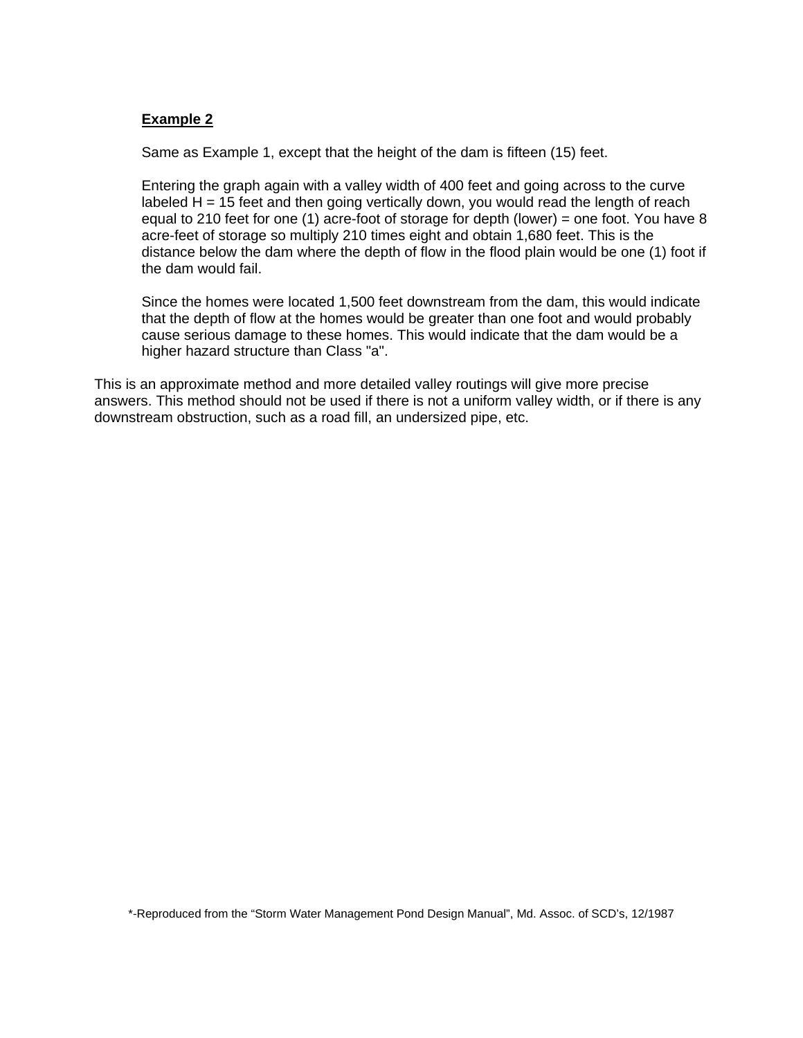## **Example 2**

Same as Example 1, except that the height of the dam is fifteen (15) feet.

Entering the graph again with a valley width of 400 feet and going across to the curve labeled  $H = 15$  feet and then going vertically down, you would read the length of reach equal to 210 feet for one (1) acre-foot of storage for depth (lower) = one foot. You have 8 acre-feet of storage so multiply 210 times eight and obtain 1,680 feet. This is the distance below the dam where the depth of flow in the flood plain would be one (1) foot if the dam would fail.

Since the homes were located 1,500 feet downstream from the dam, this would indicate that the depth of flow at the homes would be greater than one foot and would probably cause serious damage to these homes. This would indicate that the dam would be a higher hazard structure than Class "a".

This is an approximate method and more detailed valley routings will give more precise answers. This method should not be used if there is not a uniform valley width, or if there is any downstream obstruction, such as a road fill, an undersized pipe, etc.